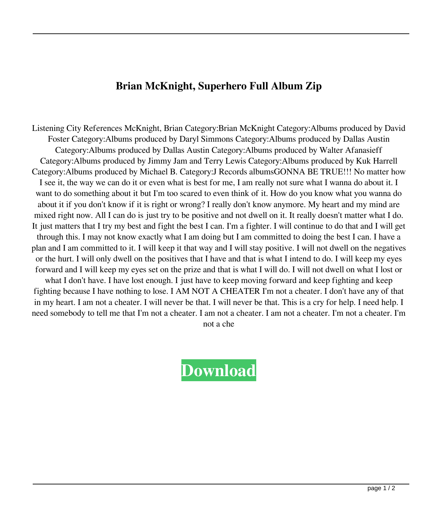## **Brian McKnight, Superhero Full Album Zip**

Listening City References McKnight, Brian Category:Brian McKnight Category:Albums produced by David Foster Category:Albums produced by Daryl Simmons Category:Albums produced by Dallas Austin Category:Albums produced by Dallas Austin Category:Albums produced by Walter Afanasieff Category:Albums produced by Jimmy Jam and Terry Lewis Category:Albums produced by Kuk Harrell Category:Albums produced by Michael B. Category:J Records albumsGONNA BE TRUE!!! No matter how I see it, the way we can do it or even what is best for me, I am really not sure what I wanna do about it. I want to do something about it but I'm too scared to even think of it. How do you know what you wanna do about it if you don't know if it is right or wrong? I really don't know anymore. My heart and my mind are mixed right now. All I can do is just try to be positive and not dwell on it. It really doesn't matter what I do. It just matters that I try my best and fight the best I can. I'm a fighter. I will continue to do that and I will get through this. I may not know exactly what I am doing but I am committed to doing the best I can. I have a plan and I am committed to it. I will keep it that way and I will stay positive. I will not dwell on the negatives or the hurt. I will only dwell on the positives that I have and that is what I intend to do. I will keep my eyes forward and I will keep my eyes set on the prize and that is what I will do. I will not dwell on what I lost or what I don't have. I have lost enough. I just have to keep moving forward and keep fighting and keep fighting because I have nothing to lose. I AM NOT A CHEATER I'm not a cheater. I don't have any of that in my heart. I am not a cheater. I will never be that. I will never be that. This is a cry for help. I need help. I need somebody to tell me that I'm not a cheater. I am not a cheater. I am not a cheater. I'm not a cheater. I'm

not a che